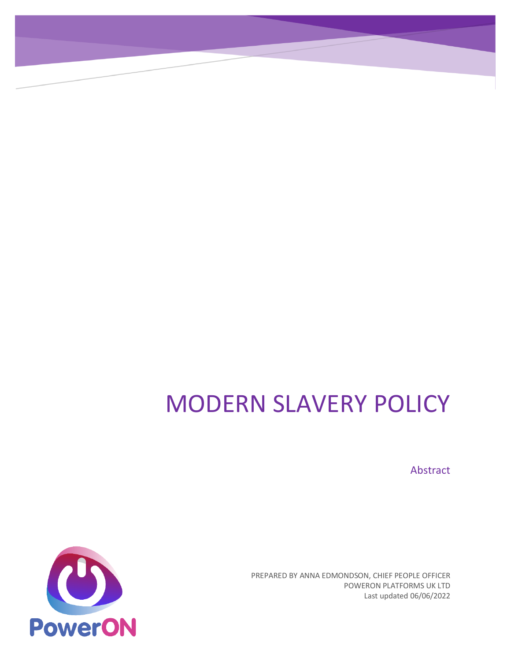# MODERN SLAVERY POLICY

Abstract

PREPARED BY ANNA EDMONDSON, CHIEF PEOPLE OFFICER POWERON PLATFORMS UK LTD Last updated 06/06/2022

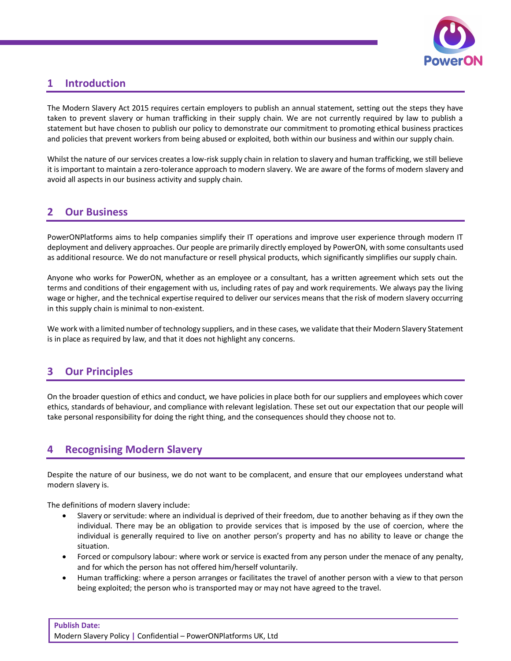

## **1 Introduction**

The Modern Slavery Act 2015 requires certain employers to publish an annual statement, setting out the steps they have taken to prevent slavery or human trafficking in their supply chain. We are not currently required by law to publish a statement but have chosen to publish our policy to demonstrate our commitment to promoting ethical business practices and policies that prevent workers from being abused or exploited, both within our business and within our supply chain.

Whilst the nature of our services creates a low-risk supply chain in relation to slavery and human trafficking, we still believe it is important to maintain a zero-tolerance approach to modern slavery. We are aware of the forms of modern slavery and avoid all aspects in our business activity and supply chain.

#### **2 Our Business**

PowerONPlatforms aims to help companies simplify their IT operations and improve user experience through modern IT deployment and delivery approaches. Our people are primarily directly employed by PowerON, with some consultants used as additional resource. We do not manufacture or resell physical products, which significantly simplifies our supply chain.

Anyone who works for PowerON, whether as an employee or a consultant, has a written agreement which sets out the terms and conditions of their engagement with us, including rates of pay and work requirements. We always pay the living wage or higher, and the technical expertise required to deliver our services means that the risk of modern slavery occurring in this supply chain is minimal to non-existent.

We work with a limited number of technology suppliers, and in these cases, we validate that their Modern Slavery Statement is in place as required by law, and that it does not highlight any concerns.

## **3 Our Principles**

On the broader question of ethics and conduct, we have policies in place both for our suppliers and employees which cover ethics, standards of behaviour, and compliance with relevant legislation. These set out our expectation that our people will take personal responsibility for doing the right thing, and the consequences should they choose not to.

#### **4 Recognising Modern Slavery**

Despite the nature of our business, we do not want to be complacent, and ensure that our employees understand what modern slavery is.

The definitions of modern slavery include:

- Slavery or servitude: where an individual is deprived of their freedom, due to another behaving as if they own the individual. There may be an obligation to provide services that is imposed by the use of coercion, where the individual is generally required to live on another person's property and has no ability to leave or change the situation.
- Forced or compulsory labour: where work or service is exacted from any person under the menace of any penalty, and for which the person has not offered him/herself voluntarily.
- Human trafficking: where a person arranges or facilitates the travel of another person with a view to that person being exploited; the person who is transported may or may not have agreed to the travel.